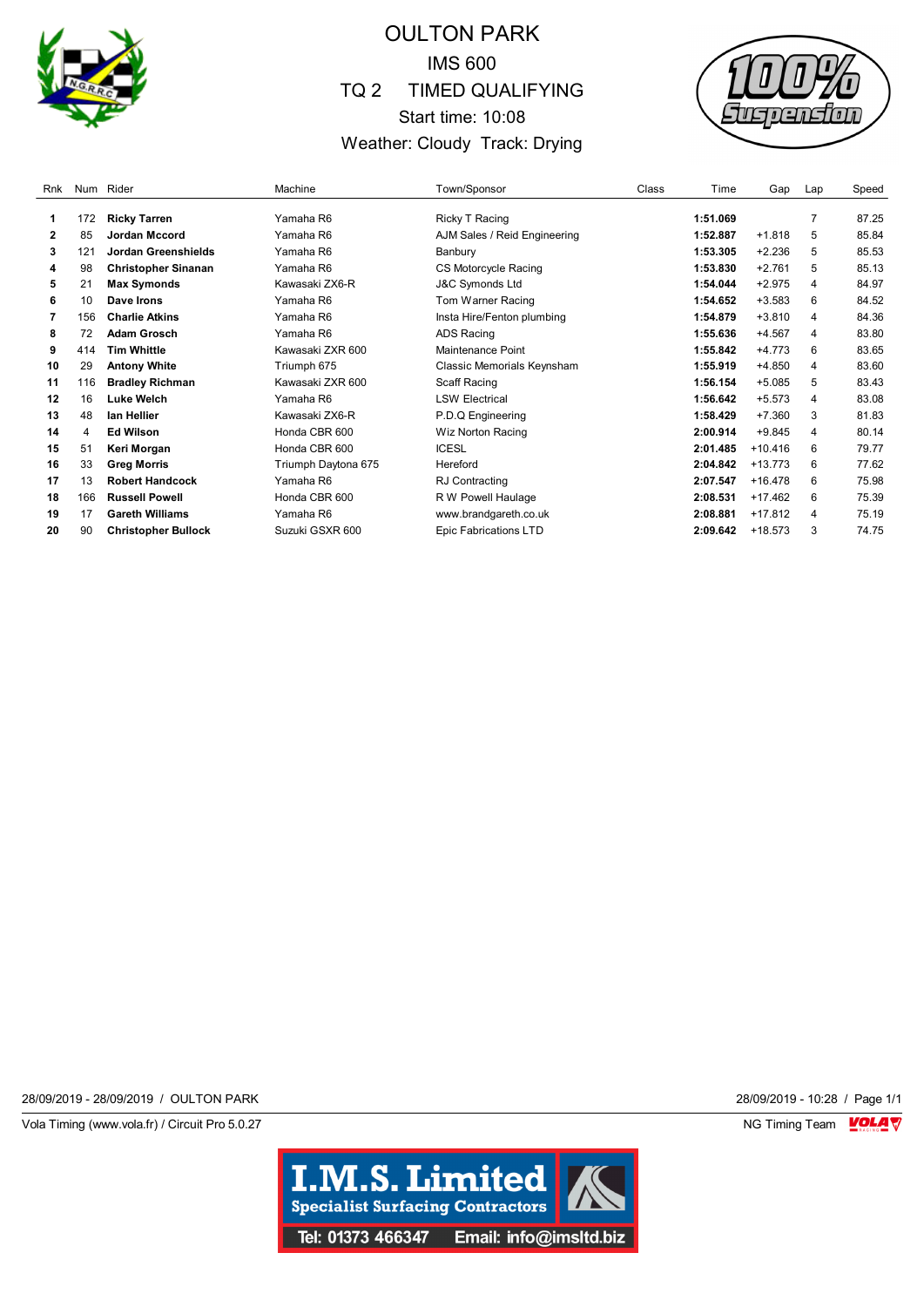

## OULTON PARK IMS 600 TQ 2 TIMED QUALIFYING Start time: 10:08 Weather: Cloudy Track: Drying



| Rnk |     | Num Rider                  | Machine             | Town/Sponsor                 | Class | Time     | Gap       | Lap            | Speed |
|-----|-----|----------------------------|---------------------|------------------------------|-------|----------|-----------|----------------|-------|
| 1   | 172 |                            | Yamaha R6           |                              |       | 1:51.069 |           | $\overline{7}$ | 87.25 |
|     |     | <b>Ricky Tarren</b>        |                     | <b>Ricky T Racing</b>        |       |          |           |                |       |
| 2   | 85  | Jordan Mccord              | Yamaha R6           | AJM Sales / Reid Engineering |       | 1:52.887 | $+1.818$  | 5              | 85.84 |
| 3   | 121 | Jordan Greenshields        | Yamaha R6           | Banbury                      |       | 1:53.305 | $+2.236$  | 5              | 85.53 |
| 4   | 98  | <b>Christopher Sinanan</b> | Yamaha R6           | <b>CS Motorcycle Racing</b>  |       | 1:53.830 | $+2.761$  | 5              | 85.13 |
| 5   | 21  | <b>Max Symonds</b>         | Kawasaki ZX6-R      | <b>J&amp;C Symonds Ltd</b>   |       | 1:54.044 | $+2.975$  | 4              | 84.97 |
| 6   | 10  | Dave Irons                 | Yamaha R6           | Tom Warner Racing            |       | 1:54.652 | $+3.583$  | 6              | 84.52 |
|     | 156 | <b>Charlie Atkins</b>      | Yamaha R6           | Insta Hire/Fenton plumbing   |       | 1:54.879 | $+3.810$  | 4              | 84.36 |
| 8   | 72  | <b>Adam Grosch</b>         | Yamaha R6           | <b>ADS Racing</b>            |       | 1:55.636 | $+4.567$  | 4              | 83.80 |
| 9   | 414 | <b>Tim Whittle</b>         | Kawasaki ZXR 600    | Maintenance Point            |       | 1:55.842 | $+4.773$  | 6              | 83.65 |
| 10  | 29  | <b>Antony White</b>        | Triumph 675         | Classic Memorials Keynsham   |       | 1:55.919 | $+4.850$  | 4              | 83.60 |
| 11  | 116 | <b>Bradley Richman</b>     | Kawasaki ZXR 600    | Scaff Racing                 |       | 1:56.154 | $+5.085$  | 5              | 83.43 |
| 12  | 16  | Luke Welch                 | Yamaha R6           | <b>LSW Electrical</b>        |       | 1:56.642 | $+5.573$  | 4              | 83.08 |
| 13  | 48  | lan Hellier                | Kawasaki ZX6-R      | P.D.Q Engineering            |       | 1:58.429 | $+7.360$  | 3              | 81.83 |
| 14  | 4   | <b>Ed Wilson</b>           | Honda CBR 600       | Wiz Norton Racing            |       | 2:00.914 | $+9.845$  | 4              | 80.14 |
| 15  | 51  | Keri Morgan                | Honda CBR 600       | <b>ICESL</b>                 |       | 2:01.485 | $+10.416$ | 6              | 79.77 |
| 16  | 33  | <b>Greg Morris</b>         | Triumph Daytona 675 | Hereford                     |       | 2:04.842 | $+13.773$ | 6              | 77.62 |
| 17  | 13  | <b>Robert Handcock</b>     | Yamaha R6           | RJ Contracting               |       | 2:07.547 | $+16.478$ | 6              | 75.98 |
| 18  | 166 | <b>Russell Powell</b>      | Honda CBR 600       | R W Powell Haulage           |       | 2:08.531 | $+17.462$ | 6              | 75.39 |
| 19  | 17  | <b>Gareth Williams</b>     | Yamaha R6           | www.brandgareth.co.uk        |       | 2:08.881 | $+17.812$ | 4              | 75.19 |
| 20  | 90  | <b>Christopher Bullock</b> | Suzuki GSXR 600     | Epic Fabrications LTD        |       | 2:09.642 | +18.573   | 3              | 74.75 |

28/09/2019 - 28/09/2019 / OULTON PARK 28/09/2019 - 10:28 / Page 1/1

Vola Timing (www.vola.fr) / Circuit Pro 5.0.27 **NG Timing Team** Vola Timing Team VOLA V

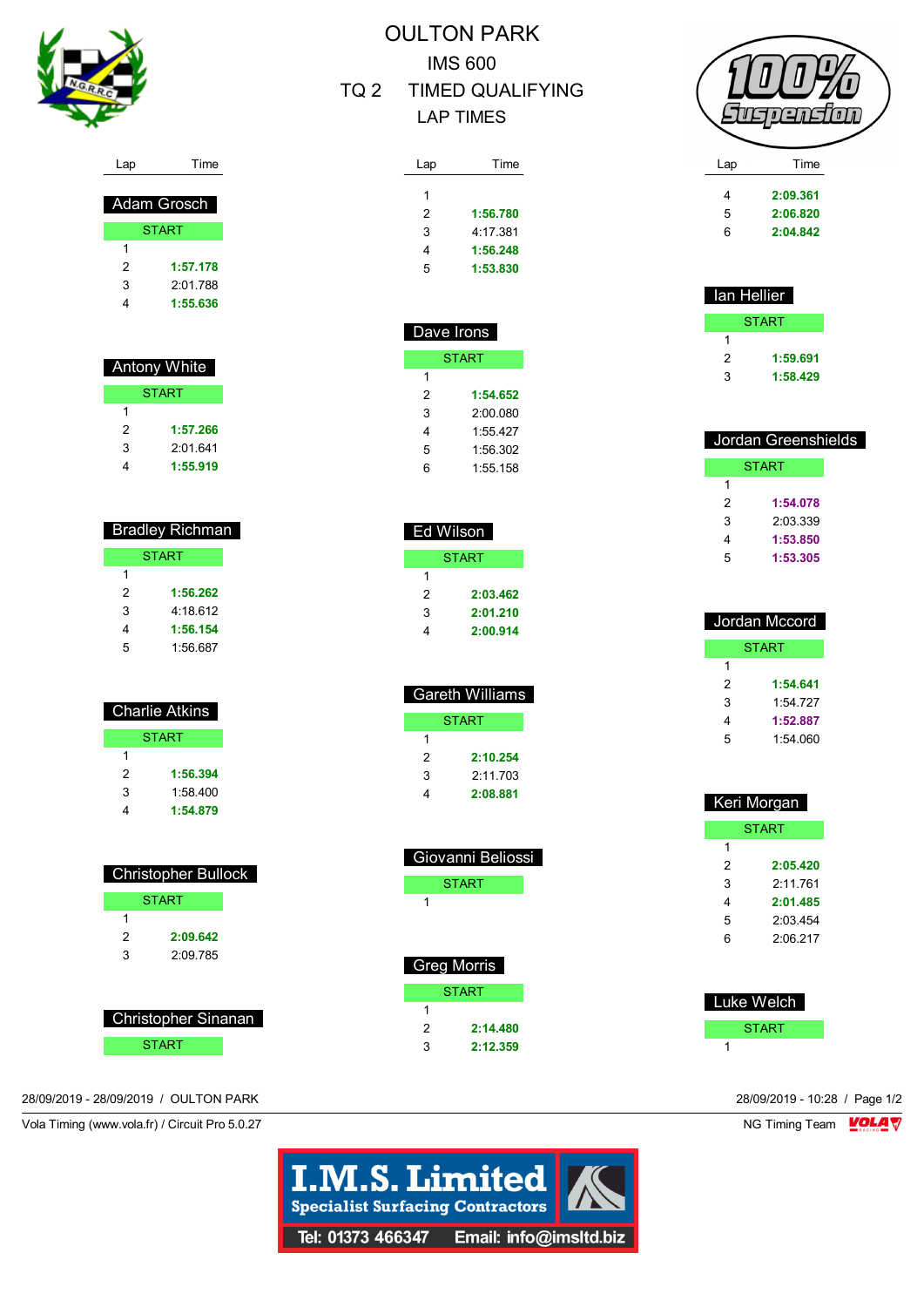

Lap Time

| Adam Grosch |              |  |  |
|-------------|--------------|--|--|
|             | <b>START</b> |  |  |
| 1           |              |  |  |
| 2           | 1:57.178     |  |  |
| 3           | 2:01.788     |  |  |
|             | 1:55.636     |  |  |

| Antony White |              |  |  |
|--------------|--------------|--|--|
|              | <b>START</b> |  |  |
| 1            |              |  |  |
| 2            | 1:57.266     |  |  |
| 3            | 2:01 641     |  |  |
|              | 1:55.919     |  |  |

| <b>Bradley Richman</b> |              |  |  |
|------------------------|--------------|--|--|
|                        | <b>START</b> |  |  |
| 1                      |              |  |  |
| 2                      | 1:56.262     |  |  |
| 3                      | 4.18.612     |  |  |
| 4                      | 1:56.154     |  |  |
| 5                      | 1:56.687     |  |  |

| Charlie Atkins |  |  |
|----------------|--|--|
| <b>START</b>   |  |  |
|                |  |  |
| 1:56.394       |  |  |
| 1.58400        |  |  |
| 1:54.879       |  |  |
|                |  |  |

| <b>Christopher Bullock</b> |              |  |  |  |
|----------------------------|--------------|--|--|--|
|                            | <b>START</b> |  |  |  |
| 1                          |              |  |  |  |
| 2                          | 2:09.642     |  |  |  |
| 3                          | 2.09785      |  |  |  |
|                            |              |  |  |  |
|                            |              |  |  |  |
| <b>Christopher Sinanan</b> |              |  |  |  |

**START** 

## OULTON PARK IMS 600

## TQ 2 TIMED QUALIFYING LAP TIMES

| Lap | Time     |
|-----|----------|
| 1   |          |
|     |          |
| 2   | 1:56.780 |
| 3   | 4:17 381 |
| 4   | 1:56.248 |
| 5   | 1:53.830 |
|     |          |

| Dave Irons |          |  |  |
|------------|----------|--|--|
|            | START    |  |  |
| 1          |          |  |  |
| 2          | 1:54.652 |  |  |
| 3          | 2:00 080 |  |  |
| 4          | 1:55 427 |  |  |
| 5          | 1:56.302 |  |  |
| հ          | 1:55.158 |  |  |

|   | Ed Wilson |
|---|-----------|
|   | START     |
| 1 |           |
| 2 | 2:03.462  |
| 3 | 2:01.210  |
| 4 | 2:00.914  |

|   | <b>Gareth Williams</b> |
|---|------------------------|
|   | START                  |
| 1 |                        |
| 2 | 2:10.254               |
| 3 | 2.11703                |
|   | 2:08.881               |

| Giovanni Beliossi |
|-------------------|
| START             |
| 1                 |
|                   |
|                   |
| Greg Morris       |
| START             |

| 1              |          |
|----------------|----------|
| $\overline{2}$ | 2:14.480 |
| 3              | 2:12.359 |



| Lap | i ime    |  |
|-----|----------|--|
|     |          |  |
| 4   | 2:09.361 |  |
| 5   | 2:06.820 |  |
| 6   | 2:04.842 |  |
|     |          |  |

| lan Hellier<br>F |          |  |
|------------------|----------|--|
|                  | START    |  |
| 1                |          |  |
| 2                | 1:59.691 |  |
| 3                | 1:58.429 |  |

| Jordan Greenshields |              |
|---------------------|--------------|
|                     | <b>START</b> |
| 1                   |              |
| 2                   | 1:54.078     |
| 3                   | 2.03.339     |
| 4                   | 1:53.850     |
| 5                   | 1:53.305     |

| Jordan Mccord |              |
|---------------|--------------|
|               | <b>START</b> |
| 1             |              |
| 2             | 1:54.641     |
| 3             | 1:54 727     |
| 4             | 1:52.887     |
| 5             | 1:54.060     |

| Keri Morgan |              |
|-------------|--------------|
|             | <b>START</b> |
| 1           |              |
| 2           | 2:05.420     |
| 3           | 2.11761      |
| 4           | 2:01.485     |
| 5           | 2.03454      |
| հ           | 2:06.217     |
|             |              |

| Luke Welch |
|------------|
| START      |
|            |

28/09/2019 - 28/09/2019 / OULTON PARK 28/09/2019 - 10:28 / Page 1/2

Vola Timing (www.vola.fr) / Circuit Pro 5.0.27 NG Timing Team VOLA V

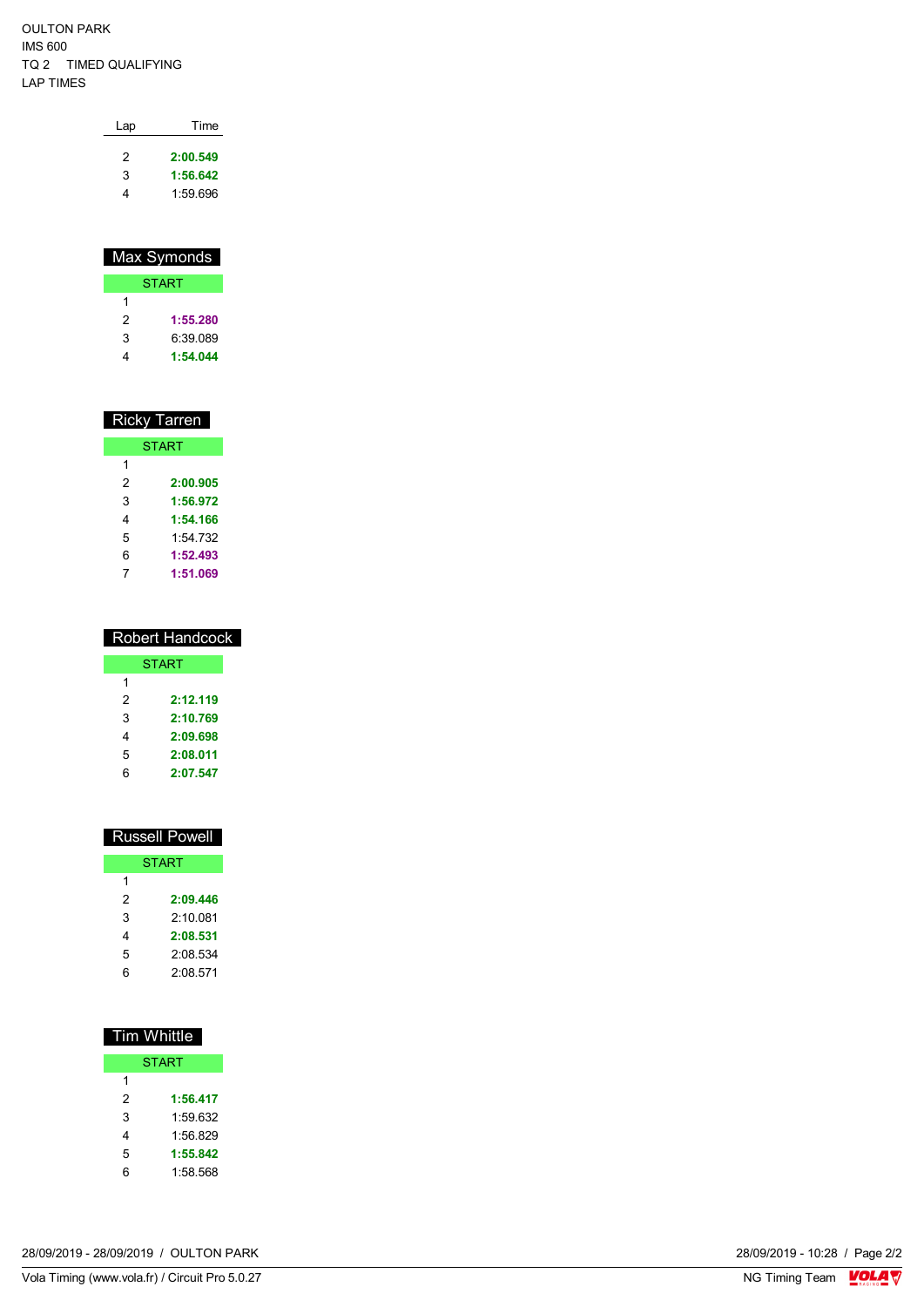OULTON PARK IMS 600 TQ 2 TIMED QUALIFYING LAP TIMES

| Lap | Time     |
|-----|----------|
| 2   | 2:00.549 |
| 3   | 1:56.642 |
|     | 1:59.696 |

| Max Symonds |              |  |
|-------------|--------------|--|
|             | <b>START</b> |  |
| 1           |              |  |
| 2           | 1:55.280     |  |
| 3           | 6:39 089     |  |
|             | 1:54.044     |  |

| <b>Ricky Tarren</b> |          |
|---------------------|----------|
| <b>START</b>        |          |
| 1                   |          |
| 2                   | 2:00.905 |
| 3                   | 1:56.972 |
| 4                   | 1:54.166 |
| 5                   | 1:54 732 |
| 6                   | 1:52.493 |
| 7                   | 1:51.069 |

| <b>Robert Handcock</b> |              |
|------------------------|--------------|
|                        | <b>START</b> |
| 1                      |              |
| 2                      | 2:12.119     |
| 3                      | 2:10.769     |
| 4                      | 2:09.698     |
| 5                      | 2:08.011     |
| ჩ                      | 2:07.547     |

| <b>Russell Powell</b> |  |
|-----------------------|--|
| <b>START</b>          |  |
|                       |  |
| 2:09.446              |  |
| 2.100081              |  |
| 2:08.531              |  |
| 2:08.534              |  |
| 2:08.571              |  |
|                       |  |

| <b>Tim Whittle</b> |              |
|--------------------|--------------|
|                    | <b>START</b> |
| 1                  |              |
| 2                  | 1:56.417     |
| 3                  | 1:59.632     |
| 4                  | 1:56.829     |
| 5                  | 1:55.842     |
| 6                  | 1:58.568     |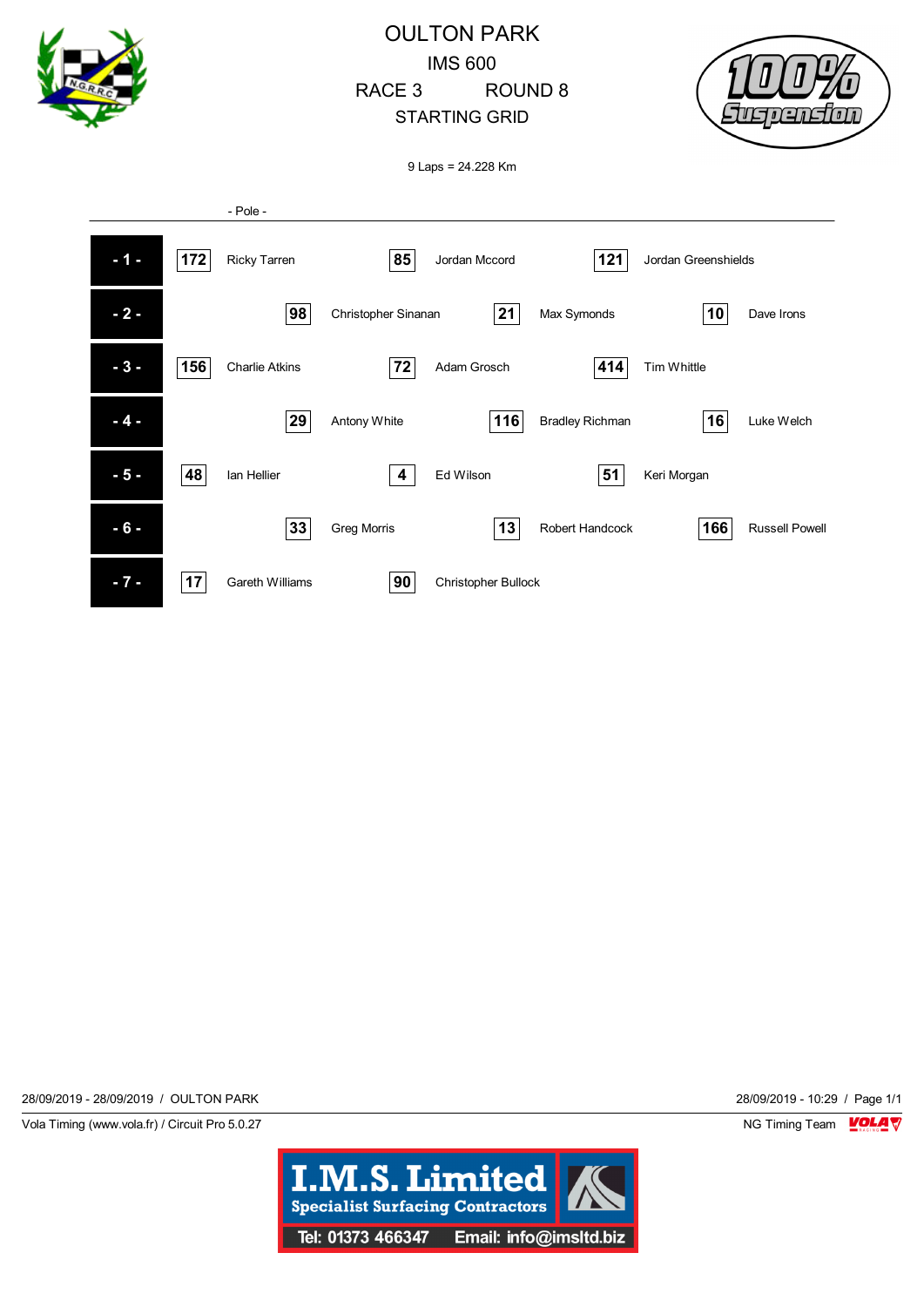

28/09/2019 - 28/09/2019 / OULTON PARK 28/09/2019 - 10:29 / Page 1/1

Vola Timing (www.vola.fr) / Circuit Pro 5.0.27 NG Timing Team NG Timing Team NG Timing Team NG Timing Team NG

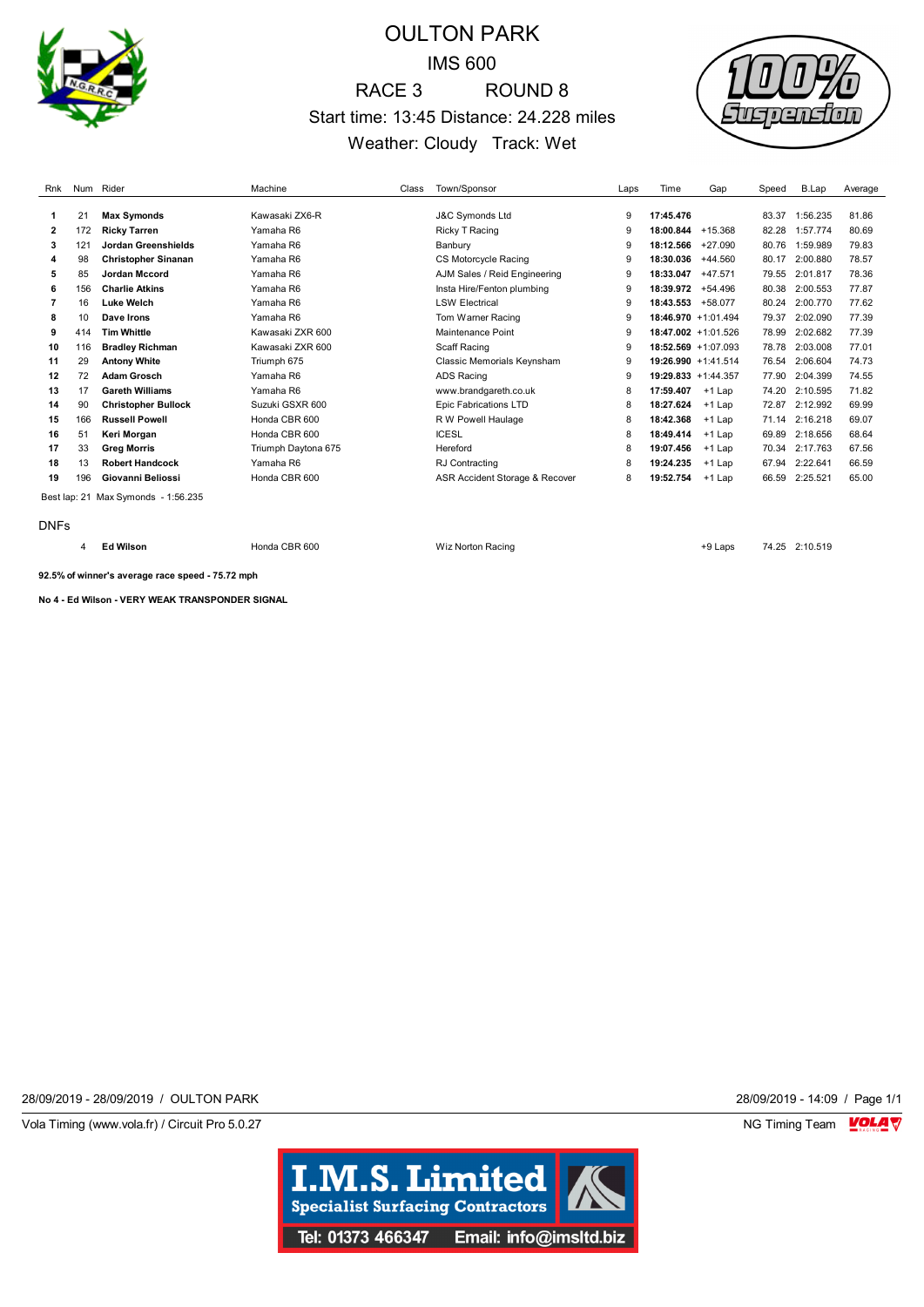

## OULTON PARK IMS 600 RACE 3 ROUND 8 Start time: 13:45 Distance: 24.228 miles Weather: Cloudy Track: Wet



| Rnk         |     | Num Rider                           | Machine             | Class | Town/Sponsor                   | Laps | Time                   | Gap       | Speed | B.Lap    | Average |
|-------------|-----|-------------------------------------|---------------------|-------|--------------------------------|------|------------------------|-----------|-------|----------|---------|
|             |     |                                     |                     |       |                                |      |                        |           |       |          |         |
| 1           | 21  | <b>Max Symonds</b>                  | Kawasaki ZX6-R      |       | <b>J&amp;C Symonds Ltd</b>     | 9    | 17:45.476              |           | 83.37 | 1:56.235 | 81.86   |
| 2           | 172 | <b>Ricky Tarren</b>                 | Yamaha R6           |       | Ricky T Racing                 | 9    | 18:00.844              | +15.368   | 82.28 | 1:57.774 | 80.69   |
| 3           | 121 | Jordan Greenshields                 | Yamaha R6           |       | Banbury                        | 9    | 18:12.566              | $+27.090$ | 80.76 | 1:59.989 | 79.83   |
| 4           | 98  | <b>Christopher Sinanan</b>          | Yamaha R6           |       | CS Motorcycle Racing           | 9    | 18:30.036              | $+44.560$ | 80.17 | 2:00.880 | 78.57   |
| 5           | 85  | <b>Jordan Mccord</b>                | Yamaha R6           |       | AJM Sales / Reid Engineering   | 9    | 18:33.047              | $+47.571$ | 79.55 | 2:01.817 | 78.36   |
| 6           | 156 | <b>Charlie Atkins</b>               | Yamaha R6           |       | Insta Hire/Fenton plumbing     | 9    | 18:39.972              | $+54.496$ | 80.38 | 2:00.553 | 77.87   |
|             | 16  | <b>Luke Welch</b>                   | Yamaha R6           |       | <b>LSW Electrical</b>          | g    | 18:43.553              | +58.077   | 80.24 | 2:00.770 | 77.62   |
| 8           | 10  | Dave Irons                          | Yamaha R6           |       | Tom Warner Racing              | 9    | 18:46.970 +1:01.494    |           | 79.37 | 2:02.090 | 77.39   |
| 9           | 414 | <b>Tim Whittle</b>                  | Kawasaki ZXR 600    |       | Maintenance Point              | 9    | $18:47.002 + 1:01.526$ |           | 78.99 | 2:02.682 | 77.39   |
| 10          | 116 | <b>Bradley Richman</b>              | Kawasaki ZXR 600    |       | Scaff Racing                   | 9    | $18:52.569 + 1:07.093$ |           | 78.78 | 2:03.008 | 77.01   |
| 11          | 29  | <b>Antony White</b>                 | Triumph 675         |       | Classic Memorials Keynsham     | 9    | 19:26.990 +1:41.514    |           | 76.54 | 2:06.604 | 74.73   |
| 12          | 72  | <b>Adam Grosch</b>                  | Yamaha R6           |       | <b>ADS Racing</b>              | 9    | 19:29.833 +1:44.357    |           | 77.90 | 2:04.399 | 74.55   |
| 13          | 17  | <b>Gareth Williams</b>              | Yamaha R6           |       | www.brandgareth.co.uk          | 8    | 17:59.407              | $+1$ Lap  | 74.20 | 2:10.595 | 71.82   |
| 14          | 90  | <b>Christopher Bullock</b>          | Suzuki GSXR 600     |       | <b>Epic Fabrications LTD</b>   | 8    | 18:27.624              | $+1$ Lap  | 72.87 | 2:12.992 | 69.99   |
| 15          | 166 | <b>Russell Powell</b>               | Honda CBR 600       |       | R W Powell Haulage             | 8    | 18:42.368              | $+1$ Lap  | 71.14 | 2:16.218 | 69.07   |
| 16          | 51  | Keri Morgan                         | Honda CBR 600       |       | <b>ICESL</b>                   | 8    | 18:49.414              | $+1$ Lap  | 69.89 | 2:18.656 | 68.64   |
| 17          | 33  | <b>Greg Morris</b>                  | Triumph Daytona 675 |       | Hereford                       | 8    | 19:07.456              | $+1$ Lap  | 70.34 | 2:17.763 | 67.56   |
| 18          | 13  | <b>Robert Handcock</b>              | Yamaha R6           |       | RJ Contracting                 | 8    | 19:24.235              | $+1$ Lap  | 67.94 | 2:22.641 | 66.59   |
| 19          | 196 | Giovanni Beliossi                   | Honda CBR 600       |       | ASR Accident Storage & Recover | 8    | 19:52.754              | $+1$ Lap  | 66.59 | 2:25.521 | 65.00   |
|             |     | Best lap: 21 Max Symonds - 1:56.235 |                     |       |                                |      |                        |           |       |          |         |
| <b>DNFs</b> |     |                                     |                     |       |                                |      |                        |           |       |          |         |

**Ed Wilson** Honda CBR 600 Wiz Norton Racing +9 Laps 74.25 2:10.519

**92.5% of winner's average race speed - 75.72 mph**

**No 4 - Ed Wilson - VERY WEAK TRANSPONDER SIGNAL**

28/09/2019 - 28/09/2019 / OULTON PARK 28/09/2019 - 14:09 / Page 1/1

Vola Timing (www.vola.fr) / Circuit Pro 5.0.27 **NG Timing Team Monet Constructs** NG Timing Team Monet Constructs

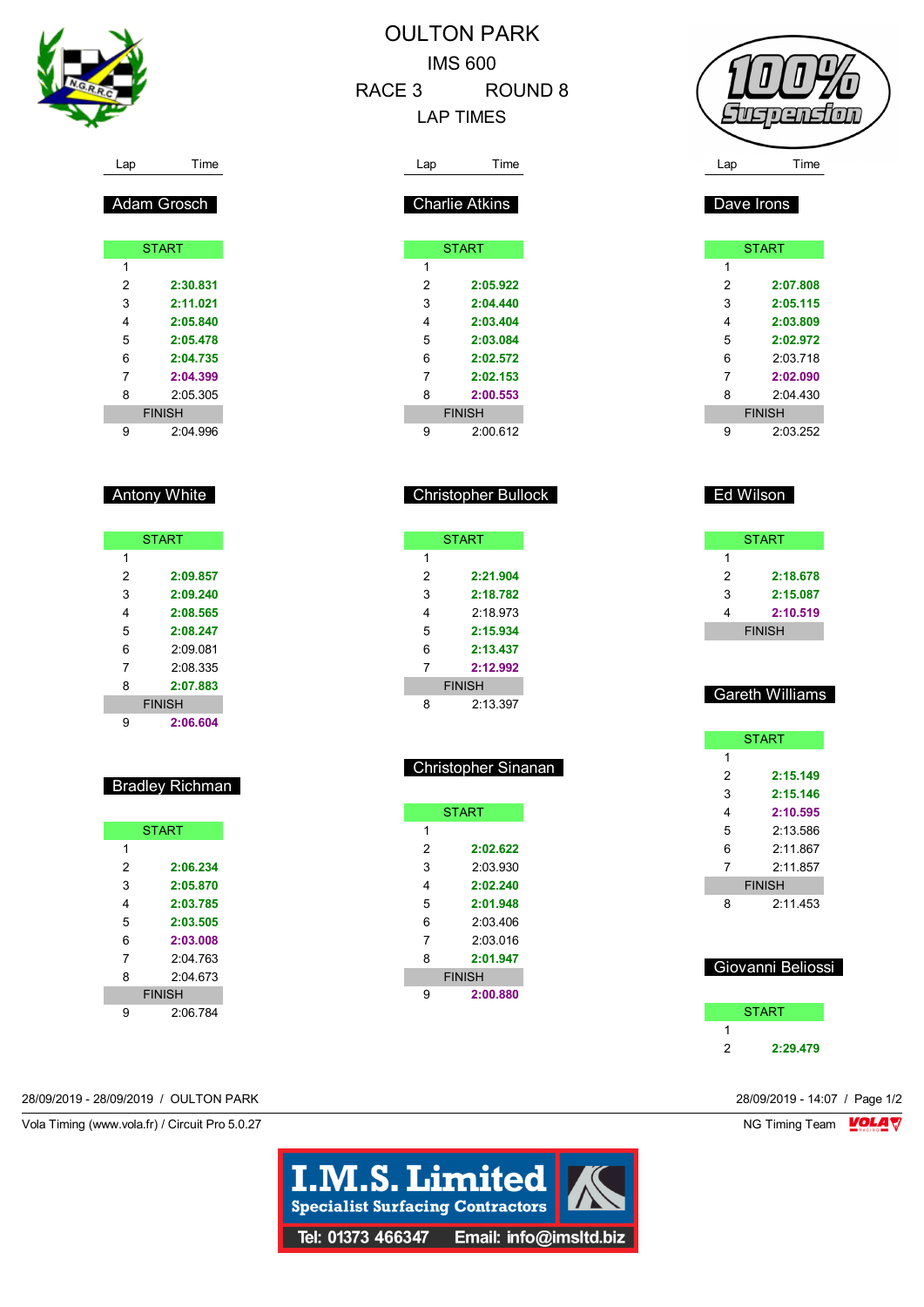

|        | <b>OULTON PARK</b> |
|--------|--------------------|
|        | IMS 600            |
| RACE 3 | ROUND 8            |
|        | <b>LAP TIMES</b>   |

|     | Francion |  |
|-----|----------|--|
| Lap | Time     |  |

Dave Irons

|   | <b>START</b>  |
|---|---------------|
| 1 |               |
| 2 | 2:07.808      |
| 3 | 2:05.115      |
| 4 | 2:03.809      |
| 5 | 2:02.972      |
| 6 | 2:03.718      |
| 7 | 2:02.090      |
| 8 | $2.04$ 430    |
|   | <b>FINISH</b> |
| 9 | 2:03.252      |

|   | <b>START</b>  |
|---|---------------|
| 1 |               |
| 2 | 2:18.678      |
| 3 | 2:15.087      |
| 4 | 2:10.519      |
|   | <b>FINISH</b> |

## Gareth Williams

|   | <b>START</b>  |
|---|---------------|
| 1 |               |
| 2 | 2:15.149      |
| 3 | 2:15.146      |
| 4 | 2:10.595      |
| 5 | 2.13586       |
| 6 | 2.11867       |
| 7 | 2:11.857      |
|   | <b>FINISH</b> |
| ឧ | 2:11.453      |

## Giovanni Beliossi

|   | <b>START</b> |
|---|--------------|
|   |              |
| 2 | 2:29.479     |

| Adam Grosch |
|-------------|
|             |

|   | <b>START</b>  |
|---|---------------|
| 1 |               |
| 2 | 2:30.831      |
| 3 | 2:11.021      |
| 4 | 2:05.840      |
| 5 | 2:05.478      |
| 6 | 2:04.735      |
| 7 | 2:04.399      |
| 8 | 2.05.305      |
|   | <b>FINISH</b> |
| g | 2.04996       |

## Antony White

|   | <b>START</b>  |
|---|---------------|
| 1 |               |
| 2 | 2:09.857      |
| 3 | 2:09.240      |
| 4 | 2:08.565      |
| 5 | 2:08.247      |
| 6 | 2:09.081      |
| 7 | 2.08.335      |
| 8 | 2:07.883      |
|   | <b>FINISH</b> |
| 9 | 2:06.604      |

## Bradley Richman

|   | <b>START</b>  |
|---|---------------|
| 1 |               |
| 2 | 2:06.234      |
| 3 | 2:05.870      |
| 4 | 2:03.785      |
| 5 | 2:03.505      |
| 6 | 2:03.008      |
| 7 | 2.04763       |
| 8 | 2.04673       |
|   | <b>FINISH</b> |
| g | 2:06.784      |

# Lap Time Charlie Atkins

|   | <b>START</b>  |
|---|---------------|
| 1 |               |
| 2 | 2:05.922      |
| 3 | 2:04.440      |
| 4 | 2:03.404      |
| 5 | 2:03.084      |
| 6 | 2:02.572      |
| 7 | 2:02.153      |
| 8 | 2:00.553      |
|   | <b>FINISH</b> |
| g | 2:00612       |

I

## Christopher Bullock

| <b>START</b> |               |
|--------------|---------------|
| 1            |               |
| 2            | 2:21.904      |
| 3            | 2:18.782      |
| 4            | 2:18.973      |
| 5            | 2:15.934      |
| 6            | 2:13.437      |
| 7            | 2:12.992      |
|              | <b>FINISH</b> |
| 8            | 2:13.397      |

|   | <b>Christopher Sinanan</b> |  |
|---|----------------------------|--|
|   |                            |  |
|   | <b>START</b>               |  |
| 1 |                            |  |
| 2 | 2:02.622                   |  |
| 3 | 2:03.930                   |  |
| 4 | 2:02.240                   |  |
| 5 | 2:01.948                   |  |
| 6 | 2:03 406                   |  |
| 7 | 2:03.016                   |  |
| 8 | 2:01.947                   |  |
|   | FINISH                     |  |
| g | 2:00.880                   |  |

28/09/2019 - 28/09/2019 / OULTON PARK 28/09/2019 - 14:07 / Page 1/2

Vola Timing (www.vola.fr) / Circuit Pro 5.0.27 NG Timing Team Monetary NG Timing Team Monetary